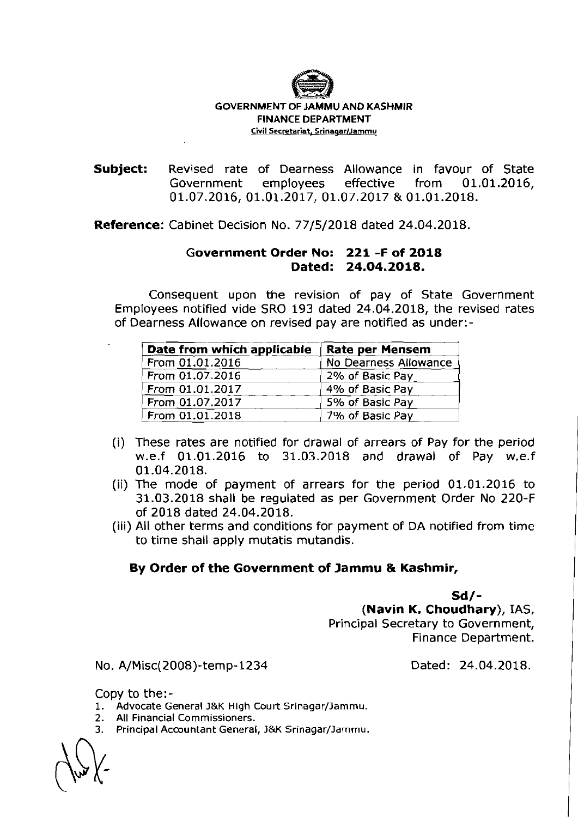

## GOVERNMENT OF JAMMU AND KASHMIR FINANCE DEPARTMENT Civil Secretariat, **SrinaqarlJamrnu**

Subject: Revised rate of Dearness Allowance in favour of State Government employees effective from **01.01.2016, 01.07.2016, 01.01.2017, 01.07.2017** & **01.01.2018.** 

Reference: Cabinet Decision No. **77/5/2018** dated **24.04.2018.** 

## Government Order No: **221 -F** of **2018**  Dated: **24.04.2018.**

Consequent upon the revision of pay of State Government Employees notified vide SRO **193** dated **24.04.2018,** the revised rates of Dearness Allowance on revised pay are notified as under:-

| Date from which applicable | Rate per Mensem       |
|----------------------------|-----------------------|
| From 01.01.2016            | No Dearness Allowance |
| From 01.07.2016            | 2% of Basic Pay       |
| From 01.01.2017            | 4% of Basic Pay       |
| From 01.07.2017            | 5% of Basic Pay       |
| From 01.01.2018            | 7% of Basic Pay       |

- (i) These rates are notified for drawal of arrears of Pay for the period w.e.f **01.01.2016** to **31.03.2018** and drawal of Pay w.e.f **01.04.2018.**
- (ii) The mode of payment of arrears for the period **01.01.2016** to **31.03.2018** shall be regulated as per Government Order No **220-F**  of **2018** dated **24.04.2018.**
- (iii) All other terms and conditions for payment of DA notified from time to time shall apply mutatis mutandis.

## By Order of the Government of Jammu & Kashmir,

Sd/-

(Navin K. Choudhary), IAS, Principal Secretary to Government, Finance Department.

No. A/Misc(ZOO8)-temp-1234

Dated: **24.04.2018.** 

Copy to the:-

- **1.** Advocate General J&K High Court Srinagar/Jammu.
- 2. All Financial Commissioners.<br>3. Principal Accountant General
- Principal Accountant General, J&K Srinagar/Jammu.